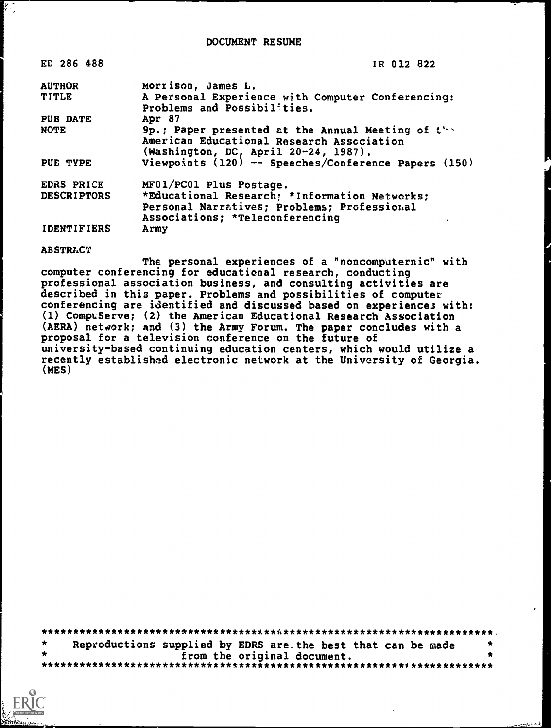| ED 286 488         | IR 012 822                                                                                                                                         |
|--------------------|----------------------------------------------------------------------------------------------------------------------------------------------------|
| <b>AUTHOR</b>      | Morrison, James L.                                                                                                                                 |
| <b>TITLE</b>       | A Personal Experience with Computer Conferencing:<br>Problems and Possibilities.                                                                   |
| <b>PUB DATE</b>    | Apr 87                                                                                                                                             |
| <b>NOTE</b>        | 9p.; Paper presented at the Annual Meeting of $t^{\lambda}$ .<br>American Educational Research Association<br>(Washington, DC, April 20-24, 1987). |
| PUE TYPE           | Viewpoints (120) -- Speeches/Conference Papers (150)                                                                                               |
| EDRS PRICE         | MF01/PC01 Plus Postage.                                                                                                                            |
| <b>DESCRIPTORS</b> | *Educational Research; *Information Networks;                                                                                                      |
|                    | Personal Narratives; Problems; Professional                                                                                                        |
|                    | Associations; *Teleconferencing                                                                                                                    |
| <b>IDENTIFIERS</b> | Army                                                                                                                                               |

## **ABSTRACT**

 $\begin{bmatrix} \mathbf{r}_1 \\ \mathbf{r}_2 \\ \vdots \\ \mathbf{r}_n \end{bmatrix}$ 

The personal experiences of a "noncomputernic" with computer conferencing for educational research, conducting professional association business, and consulting activities are described in this paper. Problems and possibilities of computer conferencing are identified and discussed based on experiences with: (1) CompuServe; (2) the American Educational Research Association (AERA) network; and (3) the Army Forum. The paper concludes with a proposal for a television conference on the future of university-based continuing education centers, which would utilize a recently established electronic network at the University of Georgia. (MES)

| $\star$ |  |  | Reproductions supplied by EDRS are the best that can be made |  |  |
|---------|--|--|--------------------------------------------------------------|--|--|
|         |  |  | from the original document.                                  |  |  |
|         |  |  |                                                              |  |  |

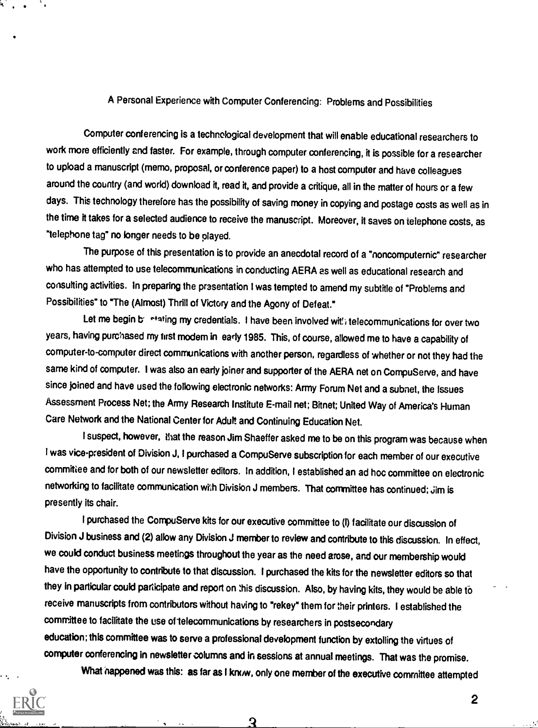## A Personal Experience with Computer Conferencing: Problems and Possibilities

Computer conferencing is a technological development that will enable educational researchers to work more efficiently and faster. For example, through computer conferencing, it is possible for a researcher to upload a manuscript (memo, proposal, or conference paper) to a host computer and have colleagues around the country (and world) download it, read it, and provide a critique, all in the matter of hours or a few days. This technology therefore has the possibility of saving money in copying and postage costs as well as in the time it takes for a selected audience to receive the manuscript. Moreover, it saves on telephone costs, as "telephone tag" no longer needs to be played.

The purpose of this presentation is to provide an anecdotal record of a "noncomputernic" researcher who has attempted to use telecommunications in conducting AERA as well as educational research and consulting activities. In preparing the presentation I was tempted to amend my subtitle of "Problems and Possibilities" to "The (Almost) Thrill of Victory and the Agony of Defeat."

Let me begin bilintating my credentials. I have been involved with telecommunications for over two years, having purchased my first modem in early 1985. This, of course, allowed me to have a capability of computer-to-computer direct communications with another person, regardless of whether or not they had the same kind of computer. I was also an early joiner and supporter of the AERA net on CompuServe, and have since joined and have used the following electronic networks: Army Forum Net and a subnet, the Issues Assessment Process Net; the Army Research Institute E-mail net; Bitnet; United Way of America's Human Care Network and the National Center for Adult and Continuing Education Net.

I suspect, however, that the reason Jim Shaeffer asked me to be on this program was because when I was vice-president of Division J, I purchased a CompuServe subscription for each member of our executive committee and for both of our newsletter editors. In addition, I established an ad hoc committee on electronic networking to facilitate communication will Division J members. That committee has continued; Jim is presently its chair.

I purchased the CompuServe kits for our executive committee to (I) facilitate our discussion of Division J business and (2) allow any Division J memberto review and contribute to this discussion. In effect, we could conduct business meetings throughout the year as the need arose, and our membership would have the opportunity to contribute to that discussion. I purchased the kits for the newsletter editors so that they in particular could participate and report on this discussion. Also, by having kits, they would be able to receive manuscripts from contributors without having to "rekey" them for their printers. I established the committee to facilitate the use of telecommunications by researchers in postsecondary education; this committee was to serve a professional development function by extolling the virtues of computer conferencing in newsletter columns and in sessions at annual meetings. That was the promise. What happened was this: as far as I know, only one member of the executive committee attempted

ર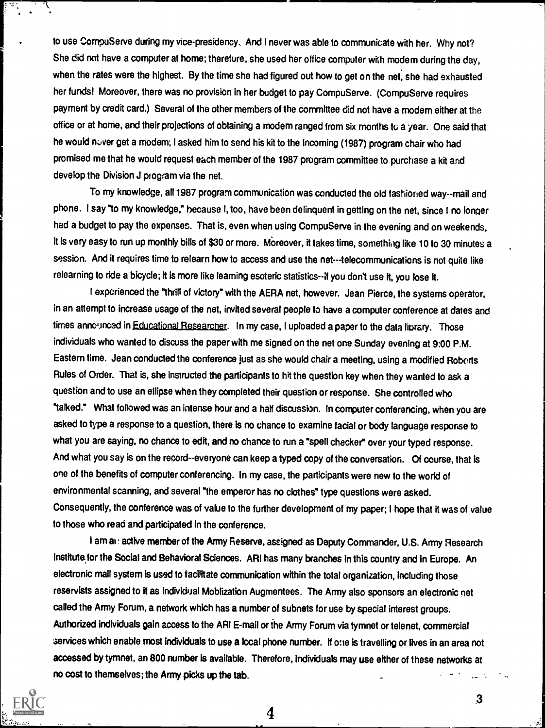to use CompuServe during my vice-presidency. And I never was able to communicate with her. Why not? She did not have a computer at home; therefore, she used her office computer with modem during the day, when the rates were the highest. By the time she had figured out how to get on the net, she had exhausted her funds! Moreover, there was no provision in her budget to pay CompuServe. (CompuServe requires payment by credit card.) Several of the other members of the committee did not have a modem either at the office or at home, and their projections of obtaining a modem ranged from six months to a year. One said that he would never get a modem; I asked him to send his kit to the incoming (1987) program chair who had promised me that he would request each member of the 1987 program committee to purchase a kit and develop the Division J program via the net.

To my knowledge, all 1987 program communication was conducted the old fashioned way--mail and phone. I say "to my knowledge," because I, too, have been delinquent in getting on the net, since I no longer had a budget to pay the expenses. That is, even when using CompuServe in the evening and on weekends, it is very easy to run up monthly bills of \$30 or more. Moreover, it takes time, something like 10 to 30 minutes a session. And it requires time to relearn how to access and use the net---telecommunications is not quite like relearning to ride a bicycle; it is more like learning esoteric statistics--if you don't use it, you lose it.

I experienced the "thrill of victory" with the AERA net, however. Jean Pierce, the systems operator, in an attempt to increase usage of the net, invited several people to have a computer conference at dates and times announced in Educational Researcher. In my case, I uploaded a paper to the data library. Those individuals who wanted to discuss the paper with me signed on the net one Sunday evening at 9:00 P.M. Eastern time. Jean conducted the conference just as she would chair a meeting, using a modified Roborts Rules of Order. That is, she instructed the participants to hit the question key when they wanted to ask a question and to use an ellipse when they completed their question or response. She controlled who "talked." What followed was an intense hour and a half discussion. In computer conferencing, when you are asked to type a response to a question, there is no chance to examine facial or body language response to what you are saying, no chance to edit, and no chance to run a "spell checker" over your typed response. And what you say is on the record--everyone can keep a typed copy of the conversation. Of course, that is one of the benefits of computer conferencing. In my case, the participants were new to the world of environmental scanning, and several "the emperor has no clothes" type questions were asked. Consequently, the conference was of value to the further development of my paper; I hope that it was of value to those who read and participated in the conference.

I am al.: active member of the Army Reserve, assigned as Deputy Commander, U.S. Army Research Institute for the Social and Behavioral Sciences. ARI has many branches in this country and in Europe. An electronic mail system is used to facilitate communication within the total organization, including those reservists assigned to it as Individual Moblization Augmentees. The Army also sponsors an electronic net called the Army Forum, a network which has a number of subnets for use by special interest groups. Authorized individuals gain access to the ARI E-mail or the Army Forum via tymnet or telenet, commercial services which enable most individuals to use a local phone number. If one is travelling or lives in an area not accessed by tymnet, an 800 number is available. Therefore, Individuals may use either of these networks at no cost to themselves; the Army picks up the tab.  $\sim$   $\sim$ 

4



 $\sqrt{1-\frac{1}{2}}$ 

.3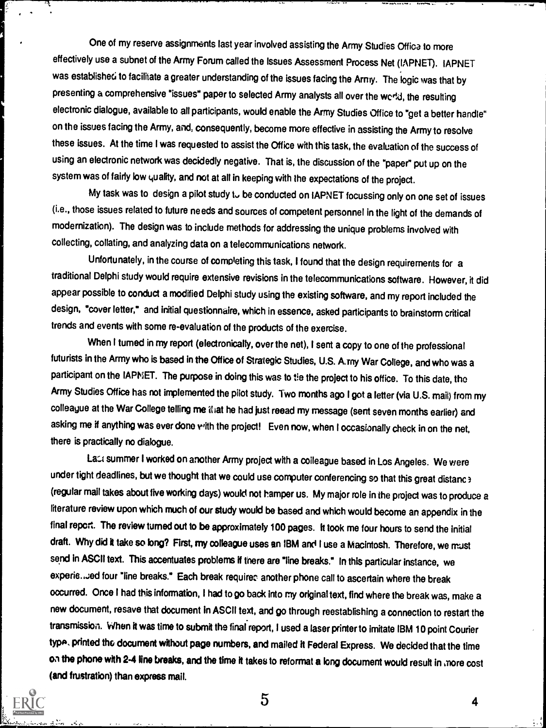One of my reserve assignments last year involved assisting the Army Studies Offica to more effectively use a subnet of the Army Forum called the Issues Assessment Process Net (IAPNET). IAPNET was established to facilitate a greater understanding of the issues facing the Army. The logic was that by presenting a comprehensive "issues" paper to selected Army analysts all over the werkd, the resulting electronic dialogue, available to all participants, would enable the Army Studies Office to "get a better handle" on the issues facing the Army, and, consequently, become more effective in assisting the Army to resolve these issues. At the time I was requested to assist the Office with this task, the evaluation of the success of using an electronic network was decidedly negative. That is, the discussion of the "paper" put up on the system was of fairly low quality, and not at all in keeping with the expectations of the project.

,  $\sum_{i=1}^n$  is the company of the set of  $\sum_{i=1}^n$  is the company of  $\sum_{i=1}^n$  is the company of  $\sum_{i=1}^n$  is the company of  $\sum_{i=1}^n$  is the company of  $\sum_{i=1}^n$ 

My task was to design a pilot study to be conducted on IAPNET focussing only on one set of issues (i.e., those issues related to future needs and sources of competent personnel in the light of the demands of modernization). The design was to include methods for addressing the unique problems involved with collecting, collating, and analyzing data on a telecommunications network.

Unfortunately, in the course of completing this task, I found that the design requirements for a traditional Delphi study would require extensive revisions in the telecommunications software. However, it did appear possible to conduct a modified Delphi study using the existing software, and my report included the design, "cover letter," and initial questionnaire, which in essence, asked participants to brainstorm critical trends and events with some re-evaluation of the products of the exercise.

When I turned in my report (electronically, over the net), I sent a copy to one of the professional futurists in the Army who is based in the Office of Strategic Studies, U.S. A.my War College, and who was a participant on the IAPNET. The purpose in doing this was to tie the project to his office. To this date, the Army Studies Office has not implemented the pilot study. Two months ago I got a letter (via U.S. mail) from my colleague at the War College telling me illat he had just reead my message (sent seven months earlier) and asking me if anything was ever done with the project! Even now, when I occasionally check in on the net, there is practically no dialogue.

Lact summer I worked on another Army project with a colleague based in Los Angeles. We were under tight deadlines, but we thought that we could use computer conferencing so that this great distanc > (regular mail takes about five working days) would not hamperus. My major role in the project was to produce a literature review upon which much of our study would be based and which would become an appendix in the final report. The review turned out to be approximately 100 pages. It took me four hours to send the initial draft. Why did it take so long? First, my colleague uses an IBM and I use a Macintosh. Therefore, we must send in ASCII text. This accentuates problems if there are "line breaks." In this particular instance, we experie...;ed four "line breaks." Each break requires another phone call to ascertain where the break occurred. Once I had this information, I had to go back into my original text, find where the break was, make a new document, resave that document in ASCII text, and go through reestablishing a connection to restart the transmission. When it was time to submit the final report, I used a laser printer to imitate IBM 10 point Courier type, printed the document without page numbers, and mailed it Federal Express. We decided that the time on the phone with 24 line breaks, and the time it takes to reformat a long document would result in snore cost (and frustration) than express mail.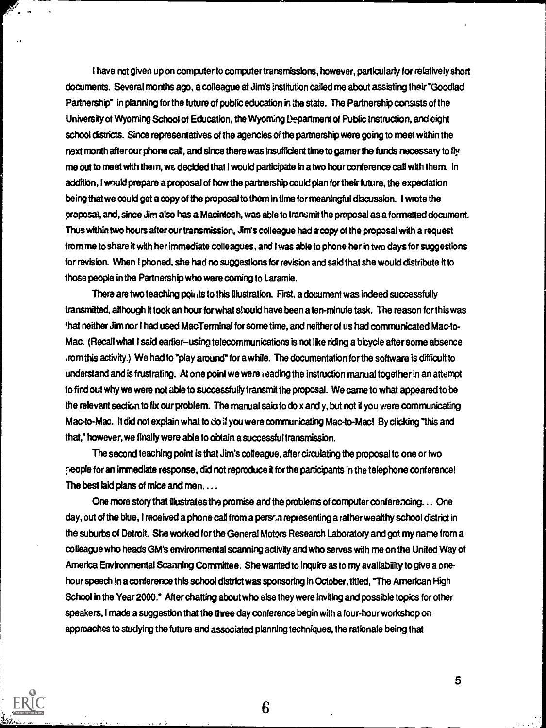I have not given up on computer to computer transmissions, however, particularly for relatively short documents. Several months ago, a colleague at Jim's institution called me about assisting their "Goodlad Partnership" in planning for the future of public education in the state. The Partnership consists of the University of Wyoming School of Education, the Wyoming Department of Public instruction, and eight school districts. Since representatives of the agencies of the partnership were going to meet within the next month after our phone call, and since there was insufficient time to gamer the funds necessary to fly me out to meet with them, we decided that I would participate in a two hour conference call with them. In addition, I would prepare a proposal of how the partnership could plan for their future, the expectation being that we could get a copy of the proposal to them in time for meaningful discussion. I wrote the proposal, and, since Jim also has a Macintosh, was able to transmit the proposal as a formatted document. Thus within two hours after our transmission, Jim's colleague had a copy of the proposal with a request from me to share it with her immediate colleagues, and I was able to phone her in two days for suggestions for revision. When I phoned, she had no suggestions for revision and said that she would distribute it to those people in the Partnership who were coming to Laramie.

There are two teaching points to this illustration. First, a document was indeed successfully transmitted, although it took an hour for what should have been a ten-minute task. The reason for this was that neither Jim nor I had used MacTerminal for some time, and neither of us had communicated Mac-to-Mac. (Recall what I said earlier-using telecommunications is not like riding a bicycle after some absence .rom this activity.) We had to "play around" for awhile. The documentation for the software is difficult to understand and is frustrating. At one point we were leading the instruction manual together in an attempt to find out why we were not able to successfully transmit the proposal. We came to what appeared to be the relevant section to fix our problem. The manual saio to do x and y, but not if you were communicating Mac-to-Mac. It did not explain what to do if you were communicating Mac-to-Macl By clicking "this and that," however, we finally were able to obtain a successful transmission.

The second teaching point is that Jim's colleague, after circulating the proposal to one or two Feople for an immediate response, did not reproduce it for the participants in the telephone conference! The best laid plans of mice and men....

One more story that illustrates the promise and the problems of computer conferencing. .. One day, out of the blue, I received a phone call from a person representing a rather wealthy school district in the suburbs of Detroit. She worked for the General Motors Research Laboratory and got my name from a colleague who heads GM's environmental scanning activity and who serves with me on the United Way of America Environmental Scanning Committee. She wanted to inquire as to my availability to give a onehour speech in a conference this school district was sponsoring in October, titled, "The American High School in the Year 2000." After chatting about who else they were inviting and possible topics for other speakers, I made a suggestion that the three day conference begin with a four-hour workshop on approaches to studying the future and associated planning techniques, the rationale being that

6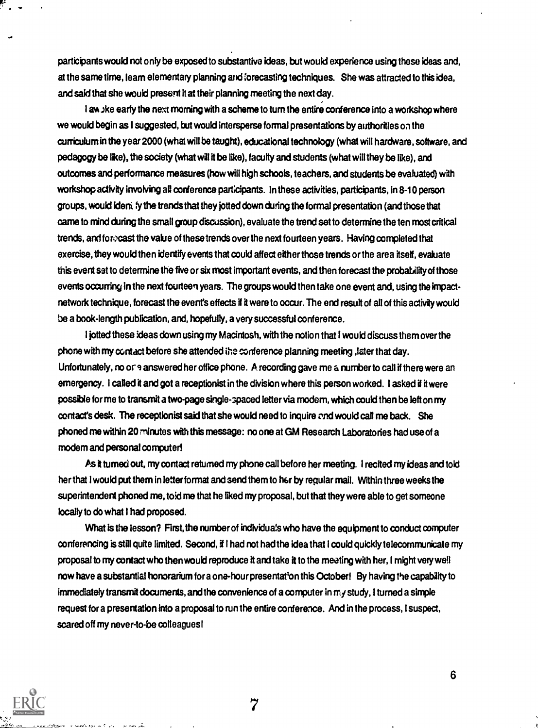participants would not only be exposed to substantive ideas, but would experience using these ideas and, at the same time, learn elementary planning and forecasting techniques. She was attracted to this idea, and said that she would present it at their planning meeting the next day.

I a% Jke early the next morning with a scheme to turn the entire conference into a workshop where we would begin as I suggested, but would intersperse formal presentations by authorities on the curriculum in the year 2000 (what will be taught), educational technology (what will hardware, software, and pedagogy be like), the society (what will it be like), faculty and students (what will they be like), and outcomes and performance measures (how will high schools, teachers, and students be evaluated) with workshop activity involving all conference participants. In these activities, participants, in 8-10 person groups, would ideni fy the trends that they jotted down during the formal presentation (and those that came to mind during the small group discussion), evaluate the trend set to determine the ten most critical trends, and forecast the value of these trends over the next fourteen years. Having completed that exercise, they would then identify events that could affect either those trends orthe area itself, evaluate this event set to determine the five or six most important events, and then forecast the probability of those events occurring in the next fourteen years. The groups would then take one event and, using the impactnetwork technique, forecast the event's effects if it were to occur. The end result of all of this activity would be a book-length publication, and, hopefully, a very successful conference.

I jotted these ideas down using my Macintosh, with the notion that I would discuss them over the phone with my contact before she attended the conference planning meeting ,later that day. Unfortunately, no or 9 answered her office phone. A recording gave me a number to call if there were an emergency. I called it and got a receptionist in the division where this person worked. I asked if it were possible for me to transmit a two-page single-spaced letter via modem, which could then be left on my contact's desk. The receptionist said that she would need to inquire cnd would call me back. She phoned me within 20 minutes with this message: no one at GM Research Laboratories had use of a modem and persona! computer!

As it turned out, my contact returned my phone call before her meeting. I recited my ideas and told her that I would put them in letter format and send them to her by regular mail. Within three weeks the superintendent phoned me, told me that he liked my proposal, but that they were able to get someone locally to do what I had proposed.

What is the lesson? First, the number of individuals who have the equipment to conduct computer conferencing is still quite limited. Second, if I had not had the idea that I could quickly telecommunicate my proposal to my contact who then would reproduce it and take it to the meeting with her, I might very well now have a substantial honorarium for a one-hour presentation this October! By having the capability to immediately transmit documents, and the convenience of a computer in my study, I turned a simple request for a presentation into a proposal to run the entire conference. And in the process, I suspect, scared off my never-to-be colleagues!

7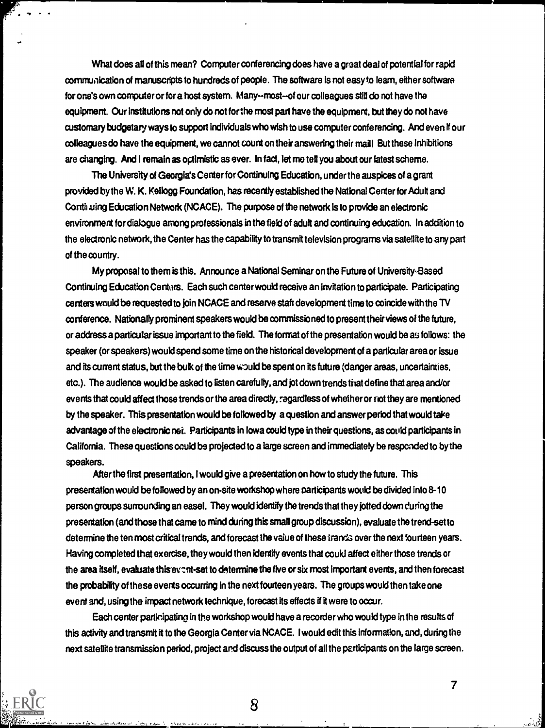What does all of this mean? Computer conferencing does have a great deal of potential for rapid communication of manuscripts to hundreds of people. The software is not easy to learn, either software for one's own computer or for a host system. Many--most--of our colleagues still do not have the equipment. Our institutions not only do not for the most part have the equipment, but they do not have customary budgetary ways to support individuals who wish to use computer conferencing. And even if our colleagues do have the equipment, we cannot count on their answering their mail But these inhibitions are changing. And I remain as optimistic as ever. In fact, let me tell you about our latest scheme.

The University of Georgia's Center for Continuing Education, under the auspices of a grant provided by the W. K. Kellogg Foundation, has recently established the National Center for Adult and Continuing Education Network (NCACE). The purpose of the network is to provide an electronic environment for dialogue among professionals in the field of adult and continuing education. In addition to the electronic network, the Center has the capability to transmit television programs via satellite to any part of the country.

My proposal to them is this. Announce a National Seminar on the Future of University-Based Continuing Education Centars. Each such center would receive an invitation to participate. Participating centers would be requested to join NCACE and reserve stair development time to coincide with the TV conference. Nationally prominent speakers would be commissioned to present their views of the future, or address a particular issue important to the field. The format of the presentation would be as follows: the speaker (or speakers) would spend some time on the historical development of a particular area or issue and its current status, but the bulk of the time would be spent on its future (danger areas, uncertainties, etc.). The audience would be asked to listen carefully, and jot down trends that define that area and/or events that could affect those trends or the area directly, regardless of whether or riot they are mentioned by the speaker. This presentation would be followed by a question and answer period that would take advantage of the electronic nei. Participants in Iowa could type in their questions, as could participants in California. These questions could be projected to a large screen and immediately be responded to by the speakers.

After the first presentation, I would give a presentation on how to study the future. This presentation would be followed by an on-site workshop where participants would be divided into 8-10 person groups surrounding an easel. They would identify the trends that they jotted down during the presentation (and those that came to mind during this small group discussion), evaluate the trend-set to determine the ten most critical trends, and forecast the value of these tranda over the next fourteen years. Having completed that exercise, they would then identify events that could affect either those trends or the area itself, evaluate this event-set to determine the five or six most important events, and then forecast the probability of these events occurring in the next fourteen years. The groups would then take one event and, using the impact network technique, forecast its effects if it were to occur.

Each center participating in the workshop would have a recorder who would type in the results of this activity and transmit it to the Georgia Center via NCACE. I would edit this information, and, during the next satellite transmission period, project and discuss the output of all the participants on the large screen.



8